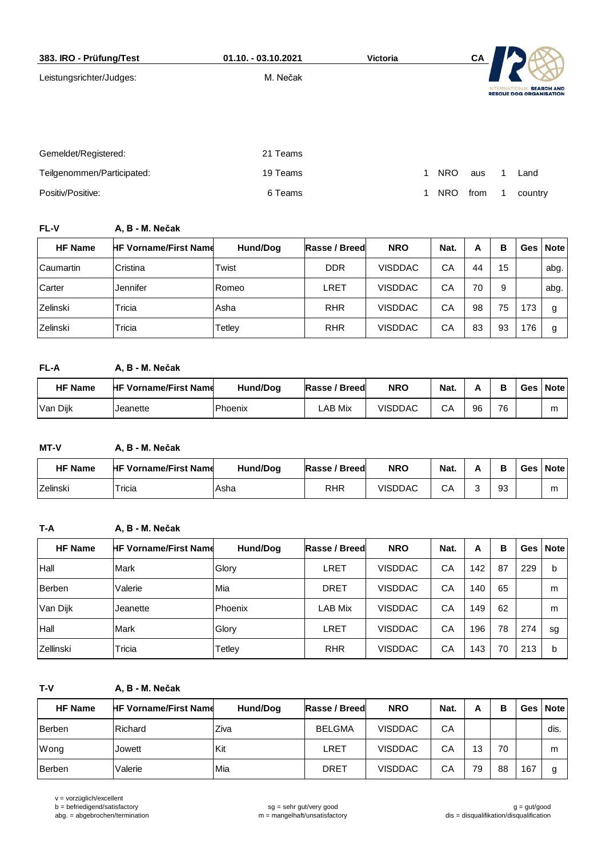| 383. IRO - Prüfung/Test    | 01.10. - 03.10.2021 | <b>Victoria</b> |   |            | CA   |                 |                                                     |
|----------------------------|---------------------|-----------------|---|------------|------|-----------------|-----------------------------------------------------|
| Leistungsrichter/Judges:   | M. Nečak            |                 |   |            |      | <b>INTERNAT</b> | <b>SEARCH AND</b><br><b>RESCUE DOG ORGANISATION</b> |
| Gemeldet/Registered:       | 21 Teams            |                 |   |            |      |                 |                                                     |
| Teilgenommen/Participated: | 19 Teams            |                 | 1 | <b>NRO</b> | aus  |                 | Land                                                |
| Positiv/Positive:          | 6 Teams             |                 |   | <b>NRO</b> | from |                 | country                                             |

**FL-V A, B - M. Nečak**

| <b>HF Name</b> | <b>HF Vorname/First Name</b> | Hund/Dog | Rasse / Breed | <b>NRO</b>     | Nat. | А  | в  |     | Ges   Note |
|----------------|------------------------------|----------|---------------|----------------|------|----|----|-----|------------|
| Caumartin      | Cristina                     | Twist    | <b>DDR</b>    | VISDDAC        | СA   | 44 | 15 |     | abg.       |
| Carter         | Jennifer                     | Romeo    | LRET          | <b>VISDDAC</b> | СA   | 70 | 9  |     | abg.       |
| Zelinski       | Tricia                       | Asha     | <b>RHR</b>    | <b>VISDDAC</b> | CA   | 98 | 75 | 173 |            |
| Zelinski       | Tricia                       | Tetley   | <b>RHR</b>    | <b>VISDDAC</b> | СA   | 83 | 93 | 176 |            |

## **FL-A A, B - M. Nečak**

| <b>HF Name</b> | <b>HF Vorname/First Name</b> | Hund/Dog | Rasse / Breed | <b>NRO</b>     | Nat. |    |    | Ges Note |
|----------------|------------------------------|----------|---------------|----------------|------|----|----|----------|
| Van Diik       | Jeanette                     | Phoenix  | ∟AB Mix       | <b>VISDDAC</b> | CА   | 96 | 76 | r        |

**MT-V A, B - M. Nečak**

| <b>HF Name</b> | <b>HF Vorname/First Name</b> | Hund/Dog | Rasse / Breed | <b>NRO</b>     | Nat. |    | Ges Note |
|----------------|------------------------------|----------|---------------|----------------|------|----|----------|
| Zelinski       | $\tau$ ricia                 | Asha     | RHR           | <b>VISDDAC</b> | СA   | 93 | m        |

## **T-A A, B - M. Nečak**

| <b>HF Name</b> | <b>HF Vorname/First Name</b> | Hund/Dog | Rasse / Breed | <b>NRO</b>     | Nat. | A   | в  |     | Ges   Note |
|----------------|------------------------------|----------|---------------|----------------|------|-----|----|-----|------------|
| Hall           | Mark                         | Glory    | LRET          | <b>VISDDAC</b> | CA   | 142 | 87 | 229 | b          |
| Berben         | Valerie                      | Mia      | <b>DRET</b>   | <b>VISDDAC</b> | CA   | 140 | 65 |     | m          |
| Van Dijk       | Jeanette                     | Phoenix  | LAB Mix       | <b>VISDDAC</b> | CA   | 149 | 62 |     | m          |
| Hall           | <b>Mark</b>                  | Glory    | LRET          | <b>VISDDAC</b> | CA   | 196 | 78 | 274 | sg         |
| Zellinski      | Tricia                       | Tetley   | <b>RHR</b>    | <b>VISDDAC</b> | CA   | 143 | 70 | 213 | b          |

**T-V A, B - M. Nečak**

| <b>HF Name</b> | <b>HF Vorname/First Name</b> | Hund/Dog   | Rasse / Breed | <b>NRO</b>     | Nat. | А  | в  |     | Ges Note |
|----------------|------------------------------|------------|---------------|----------------|------|----|----|-----|----------|
| Berben         | Richard                      | Ziva       | <b>BELGMA</b> | <b>VISDDAC</b> | CA   |    |    |     | dis.     |
| Wong           | Jowett                       | <b>Kit</b> | LRET          | <b>VISDDAC</b> | CA   | 13 | 70 |     | m        |
| Berben         | Valerie                      | Mia        | <b>DRET</b>   | <b>VISDDAC</b> | CA   | 79 | 88 | 167 | g        |